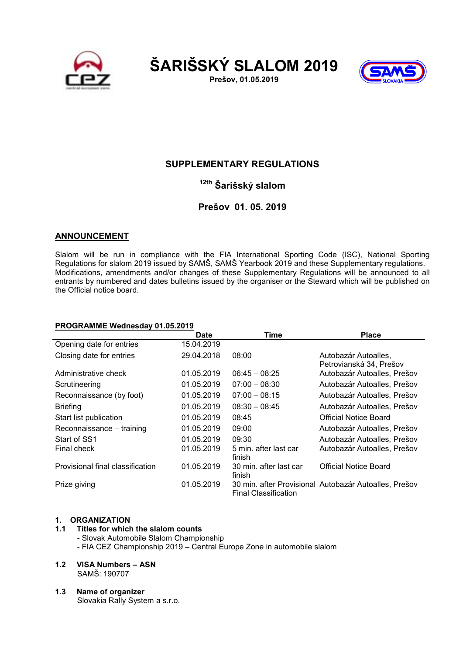





# SUPPLEMENTARY REGULATIONS

# <sup>12th</sup> Šarišský slalom

# Prešov 01. 05. 2019

## ANNOUNCEMENT

Slalom will be run in compliance with the FIA International Sporting Code (ISC), National Sporting Regulations for slalom 2019 issued by SAMŠ, SAMŠ Yearbook 2019 and these Supplementary regulations. Modifications, amendments and/or changes of these Supplementary Regulations will be announced to all entrants by numbered and dates bulletins issued by the organiser or the Steward which will be published on the Official notice board.

#### PROGRAMME Wednesday 01.05.2019 Date Time **Place** Opening date for entries 15.04.2019 Closing date for entries 29.04.2018 08:00 Autobazár Autoalles, Petrovianská 34, Prešov Administrative check 01.05.2019 06:45 – 08:25 Autobazár Autoalles, Prešov Scrutineering **01.05.2019** 07:00 – 08:30 Autobazár Autoalles, Prešov Reconnaissance (by foot) 01.05.2019 07:00 - 08:15 Autobazár Autoalles, Prešov Briefing 01.05.2019 08:30 – 08:45 Autobazár Autoalles, Prešov Start list publication 01.05.2019 08:45 Official Notice Board Reconnaissance – training  $01.05.2019$  09:00 Autobazár Autoalles, Prešov Start of SS1 01.05.2019 09:30 Autobazár Autoalles, Prešov Final check 01.05.2019 5 min. after last car finish<br>30 min. after last car Autobazár Autoalles, Prešov Provisional final classification 01.05.2019 finish Official Notice Board Prize giving 01.05.2019 30 min. after Provisional Autobazár Autoalles, Prešov Final Classification

## 1. ORGANIZATION

- 1.1 Titles for which the slalom counts - Slovak Automobile Slalom Championship - FIA CEZ Championship 2019 – Central Europe Zone in automobile slalom
- 1.2 VISA Numbers ASN SAMŠ: 190707
- 1.3 Name of organizer Slovakia Rally System a s.r.o.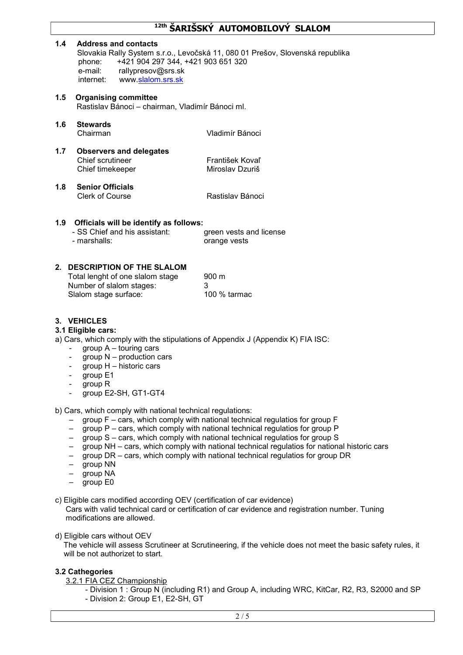# 12th ŠARIŠSKÝ AUTOMOBILOVÝ SLALOM

#### 1.4 Address and contacts

Slovakia Rally System s.r.o., Levočská 11, 080 01 Prešov, Slovenská republika phone: +421 904 297 344, +421 903 651 320 e-mail: rallypresov@srs.sk internet: www.slalom.srs.sk

- 1.5 Organising committee Rastislav Bánoci – chairman, Vladimír Bánoci ml.
- 1.6 Stewards Chairman Vladimír Bánoci
- 1.7 Observers and delegates Chief scrutineer<br>
Chief timekeeper<br>
Chief timekeeper<br>
Miroslav Dzuriš Chief timekeeper
- 1.8 Senior Officials

Clerk of Course **Rastislav Bánoci** 

## 1.9 Officials will be identify as follows:

| - SS Chief and his assistant: | green vests and license |
|-------------------------------|-------------------------|
| - marshalls:                  | orange vests            |

## 2. DESCRIPTION OF THE SLALOM

| Total lenght of one slalom stage | 900 m        |
|----------------------------------|--------------|
| Number of slalom stages:         | -3           |
| Slalom stage surface:            | 100 % tarmac |

## 3 VEHICLES

#### 3.1 Eligible cars:

a) Cars, which comply with the stipulations of Appendix J (Appendix K) FIA ISC:

- $group A tourism g$  cars
- group N production cars
- group H historic cars
- group E1
- group R
- group E2-SH, GT1-GT4

b) Cars, which comply with national technical regulations:

- group F cars, which comply with national technical regulatios for group F
- group P cars, which comply with national technical regulatios for group P
- group S cars, which comply with national technical regulatios for group S
- group NH cars, which comply with national technical regulatios for national historic cars
- group DR cars, which comply with national technical regulatios for group DR
- group NN
- group NA
- group E0

c) Eligible cars modified according OEV (certification of car evidence)

Cars with valid technical card or certification of car evidence and registration number. Tuning modifications are allowed.

d) Eligible cars without OEV

 The vehicle will assess Scrutineer at Scrutineering, if the vehicle does not meet the basic safety rules, it will be not authorizet to start.

## 3.2 Cathegories

- 3.2.1 FIA CEZ Championship
	- Division 1 : Group N (including R1) and Group A, including WRC, KitCar, R2, R3, S2000 and SP - Division 2: Group E1, E2-SH, GT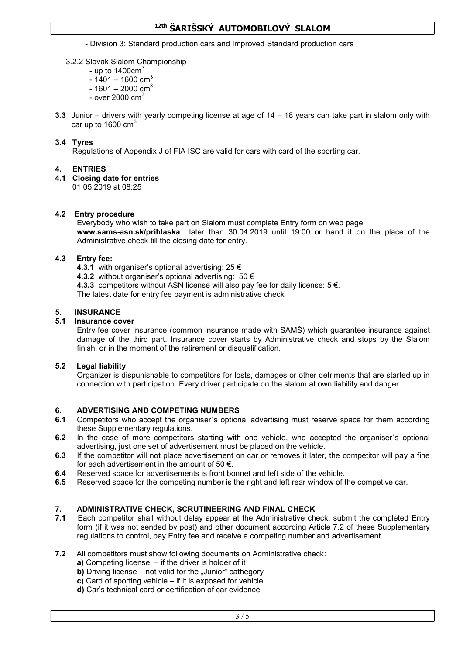# <sup>12th</sup> ŠARTŠSKÝ AUTOMOBILOVÝ SLALOM

- Division 3: Standard production cars and Improved Standard production cars

## 3.2.2 Slovak Slalom Championship

- up to  $1400 \text{cm}^3$
- $-1401 1600$  cm<sup>3</sup>
- $-1601 2000$  cm<sup>3</sup>
- over  $2000 \text{ cm}^3$
- 3.3 Junior drivers with yearly competing license at age of 14 18 years can take part in slalom only with car up to 1600 cm $^3\,$

## 3.4 Tyres

Regulations of Appendix J of FIA ISC are valid for cars with card of the sporting car.

# 4. ENTRIES

4.1 Closing date for entries

01.05.2019 at 08:25

## 4.2 Entry procedure

Everybody who wish to take part on Slalom must complete Entry form on web page: www.sams-asn.sk/prihlaska later than 30.04.2019 until 19:00 or hand it on the place of the Administrative check till the closing date for entry.

## 4.3 Entry fee:

- 4.3.1 with organiser's optional advertising:  $25 \in$
- 4.3.2 without organiser's optional advertising:  $50 \in$
- 4.3.3 competitors without ASN license will also pay fee for daily license:  $5 \notin$ .

The latest date for entry fee payment is administrative check

# 5. INSURANCE

## 5.1 Insurance cover

Entry fee cover insurance (common insurance made with SAMŠ) which guarantee insurance against damage of the third part. Insurance cover starts by Administrative check and stops by the Slalom finish, or in the moment of the retirement or disqualification.

## 5.2 Legal liability

Organizer is dispunishable to competitors for losts, damages or other detriments that are started up in connection with participation. Every driver participate on the slalom at own liability and danger.

## 6. ADVERTISING AND COMPETING NUMBERS

- 6.1 Competitors who accept the organiser's optional advertising must reserve space for them according these Supplementary regulations.
- 6.2 In the case of more competitors starting with one vehicle, who accepted the organiser's optional advertising, just one set of advertisement must be placed on the vehicle.
- 6.3 If the competitor will not place advertisement on car or removes it later, the competitor will pay a fine for each advertisement in the amount of 50  $\epsilon$ .
- 6.4 Reserved space for advertisements is front bonnet and left side of the vehicle.
- **6.5** Reserved space for the competing number is the right and left rear window of the competive car.

# 7. ADMINISTRATIVE CHECK, SCRUTINEERING AND FINAL CHECK

- 7.1 Each competitor shall without delay appear at the Administrative check, submit the completed Entry form (if it was not sended by post) and other document according Article 7.2 of these Supplementary regulations to control, pay Entry fee and receive a competing number and advertisement.
- 7.2 All competitors must show following documents on Administrative check:
	- a) Competing license  $-$  if the driver is holder of it
	- **b)** Driving license  $-$  not valid for the "Junior" cathegory
	- c) Card of sporting vehicle if it is exposed for vehicle
	- d) Car's technical card or certification of car evidence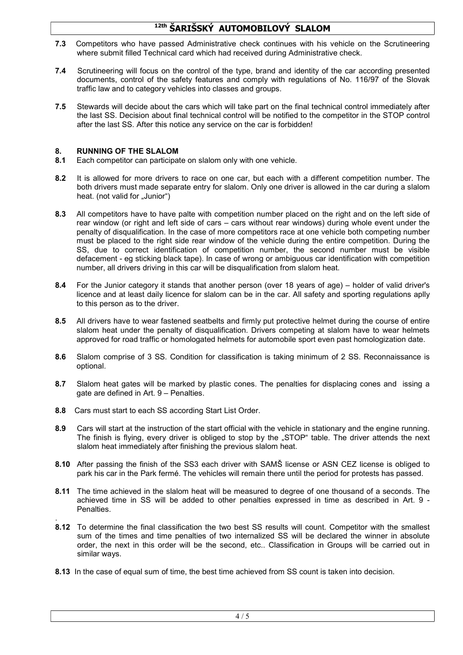# <sup>12th</sup> ŠARIŠSKÝ AUTOMOBILOVÝ SLALOM

- 7.3 Competitors who have passed Administrative check continues with his vehicle on the Scrutineering where submit filled Technical card which had received during Administrative check.
- 7.4 Scrutineering will focus on the control of the type, brand and identity of the car according presented documents, control of the safety features and comply with regulations of No. 116/97 of the Slovak traffic law and to category vehicles into classes and groups.
- 7.5 Stewards will decide about the cars which will take part on the final technical control immediately after the last SS. Decision about final technical control will be notified to the competitor in the STOP control after the last SS. After this notice any service on the car is forbidden!

## 8. RUNNING OF THE SLALOM

- 8.1 Each competitor can participate on slalom only with one vehicle.
- 8.2 It is allowed for more drivers to race on one car, but each with a different competition number. The both drivers must made separate entry for slalom. Only one driver is allowed in the car during a slalom heat. (not valid for "Junior")
- 8.3 All competitors have to have palte with competition number placed on the right and on the left side of rear window (or right and left side of cars – cars without rear windows) during whole event under the penalty of disqualification. In the case of more competitors race at one vehicle both competing number must be placed to the right side rear window of the vehicle during the entire competition. During the SS, due to correct identification of competition number, the second number must be visible defacement - eg sticking black tape). In case of wrong or ambiguous car identification with competition number, all drivers driving in this car will be disqualification from slalom heat.
- 8.4 For the Junior category it stands that another person (over 18 years of age) holder of valid driver's licence and at least daily licence for slalom can be in the car. All safety and sporting regulations aplly to this person as to the driver.
- 8.5 All drivers have to wear fastened seatbelts and firmly put protective helmet during the course of entire slalom heat under the penalty of disqualification. Drivers competing at slalom have to wear helmets approved for road traffic or homologated helmets for automobile sport even past homologization date.
- 8.6 Slalom comprise of 3 SS. Condition for classification is taking minimum of 2 SS. Reconnaissance is optional.
- 8.7 Slalom heat gates will be marked by plastic cones. The penalties for displacing cones and issing a gate are defined in Art. 9 – Penalties.
- 8.8 Cars must start to each SS according Start List Order.
- 8.9 Cars will start at the instruction of the start official with the vehicle in stationary and the engine running. The finish is flying, every driver is obliged to stop by the "STOP" table. The driver attends the next slalom heat immediately after finishing the previous slalom heat.
- 8.10 After passing the finish of the SS3 each driver with SAMŠ license or ASN CEZ license is obliged to park his car in the Park fermé. The vehicles will remain there until the period for protests has passed.
- 8.11 The time achieved in the slalom heat will be measured to degree of one thousand of a seconds. The achieved time in SS will be added to other penalties expressed in time as described in Art. 9 - Penalties.
- . 8.12 To determine the final classification the two best SS results will count. Competitor with the smallest sum of the times and time penalties of two internalized SS will be declared the winner in absolute order, the next in this order will be the second, etc.. Classification in Groups will be carried out in similar ways.
- 8.13 In the case of equal sum of time, the best time achieved from SS count is taken into decision.